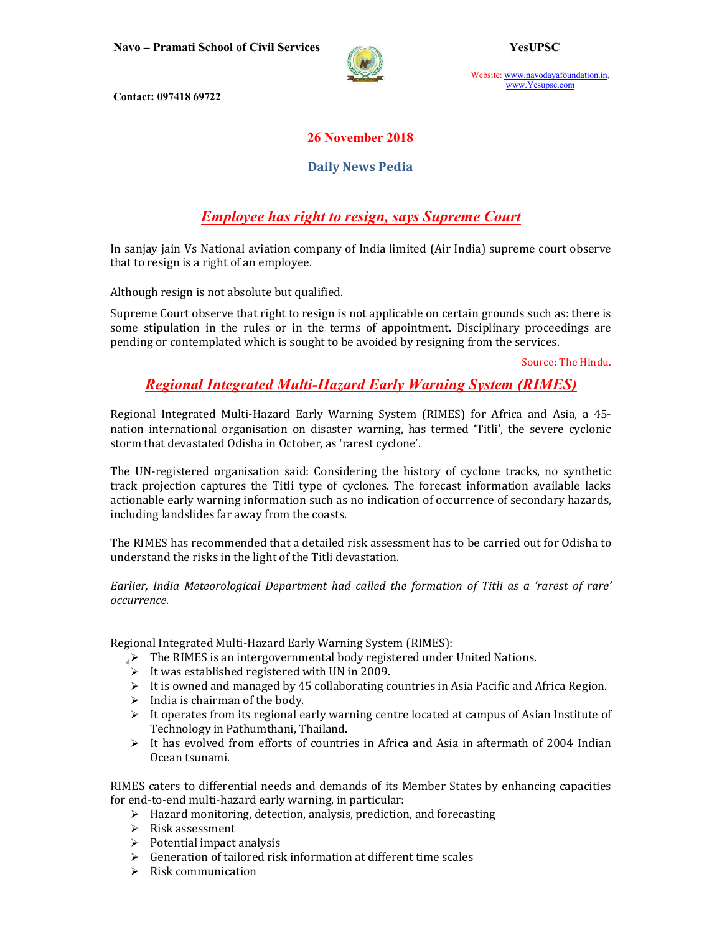

Website: www.navodayafoundation.in, www.Yesupsc.com

Contact: 097418 69722

### 26 November 2018

### Daily News Pedia

# Employee has right to resign, says Supreme Court

In sanjay jain Vs National aviation company of India limited (Air India) supreme court observe that to resign is a right of an employee.

Although resign is not absolute but qualified.

Supreme Court observe that right to resign is not applicable on certain grounds such as: there is some stipulation in the rules or in the terms of appointment. Disciplinary proceedings are pending or contemplated which is sought to be avoided by resigning from the services.

Source: The Hindu.

## Regional Integrated Multi-Hazard Early Warning System (RIMES)

Regional Integrated Multi-Hazard Early Warning System (RIMES) for Africa and Asia, a 45 nation international organisation on disaster warning, has termed 'Titli', the severe cyclonic storm that devastated Odisha in October, as 'rarest cyclone'.

The UN-registered organisation said: Considering the history of cyclone tracks, no synthetic track projection captures the Titli type of cyclones. The forecast information available lacks actionable early warning information such as no indication of occurrence of secondary hazards, including landslides far away from the coasts.

The RIMES has recommended that a detailed risk assessment has to be carried out for Odisha to understand the risks in the light of the Titli devastation.

Earlier, India Meteorological Department had called the formation of Titli as a 'rarest of rare' occurrence.

Regional Integrated Multi-Hazard Early Warning System (RIMES):

- $\rightarrow$  The RIMES is an intergovernmental body registered under United Nations.
- $\triangleright$  It was established registered with UN in 2009.
- $\triangleright$  It is owned and managed by 45 collaborating countries in Asia Pacific and Africa Region.
- $\triangleright$  India is chairman of the body.
- $\triangleright$  It operates from its regional early warning centre located at campus of Asian Institute of Technology in Pathumthani, Thailand.
- $\triangleright$  It has evolved from efforts of countries in Africa and Asia in aftermath of 2004 Indian Ocean tsunami.

RIMES caters to differential needs and demands of its Member States by enhancing capacities for end-to-end multi-hazard early warning, in particular:

- $\triangleright$  Hazard monitoring, detection, analysis, prediction, and forecasting
- $\triangleright$  Risk assessment
- $\triangleright$  Potential impact analysis
- $\triangleright$  Generation of tailored risk information at different time scales
- $\triangleright$  Risk communication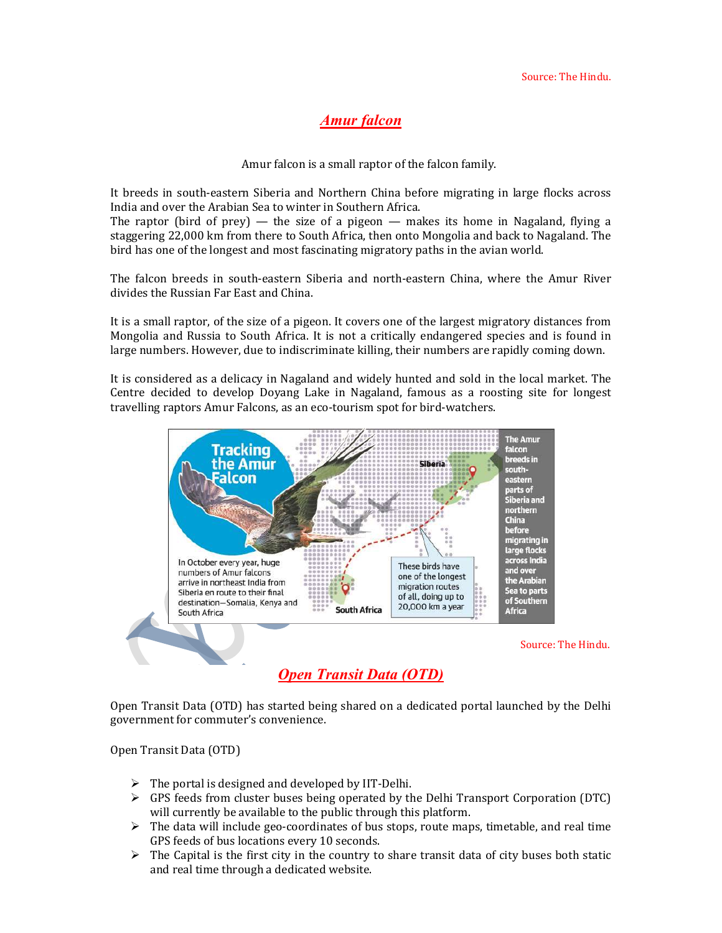## Amur falcon

Amur falcon is a small raptor of the falcon family.

It breeds in south-eastern Siberia and Northern China before migrating in large flocks across India and over the Arabian Sea to winter in Southern Africa.

The raptor (bird of prey) — the size of a pigeon — makes its home in Nagaland, flying a staggering 22,000 km from there to South Africa, then onto Mongolia and back to Nagaland. The bird has one of the longest and most fascinating migratory paths in the avian world.

The falcon breeds in south-eastern Siberia and north-eastern China, where the Amur River divides the Russian Far East and China.

It is a small raptor, of the size of a pigeon. It covers one of the largest migratory distances from Mongolia and Russia to South Africa. It is not a critically endangered species and is found in large numbers. However, due to indiscriminate killing, their numbers are rapidly coming down.

It is considered as a delicacy in Nagaland and widely hunted and sold in the local market. The Centre decided to develop Doyang Lake in Nagaland, famous as a roosting site for longest travelling raptors Amur Falcons, as an eco-tourism spot for bird-watchers.



Open Transit Data (OTD)

Open Transit Data (OTD) has started being shared on a dedicated portal launched by the Delhi government for commuter's convenience.

Open Transit Data (OTD)

- $\triangleright$  The portal is designed and developed by IIT-Delhi.
- $\triangleright$  GPS feeds from cluster buses being operated by the Delhi Transport Corporation (DTC) will currently be available to the public through this platform.
- $\triangleright$  The data will include geo-coordinates of bus stops, route maps, timetable, and real time GPS feeds of bus locations every 10 seconds.
- $\triangleright$  The Capital is the first city in the country to share transit data of city buses both static and real time through a dedicated website.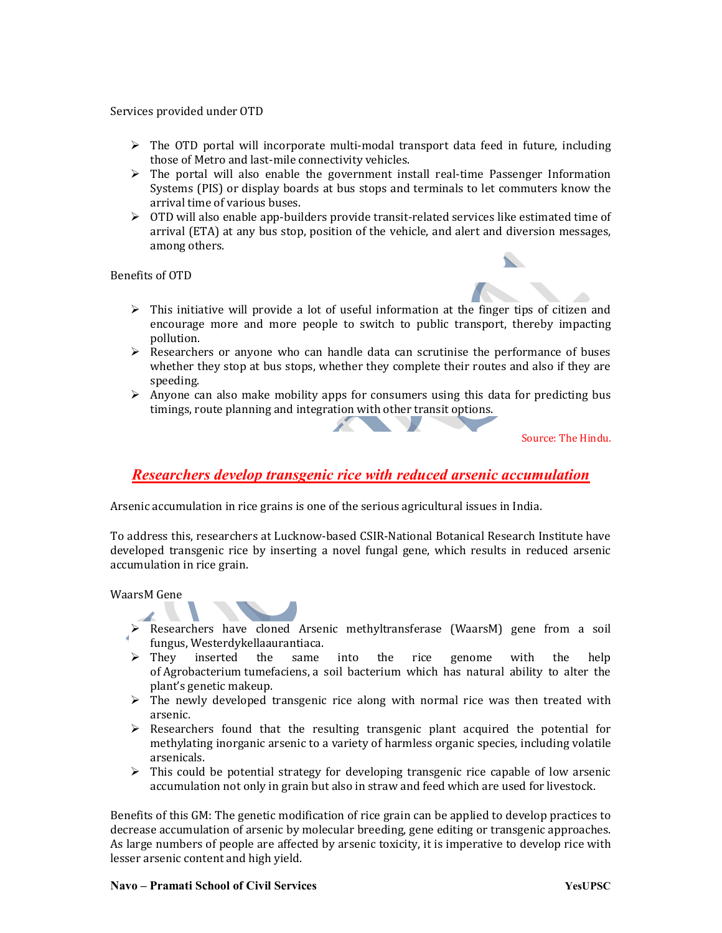Services provided under OTD

- $\triangleright$  The OTD portal will incorporate multi-modal transport data feed in future, including those of Metro and last-mile connectivity vehicles.
- $\triangleright$  The portal will also enable the government install real-time Passenger Information Systems (PIS) or display boards at bus stops and terminals to let commuters know the arrival time of various buses.
- OTD will also enable app-builders provide transit-related services like estimated time of arrival (ETA) at any bus stop, position of the vehicle, and alert and diversion messages, among others.

Benefits of OTD

- $\triangleright$  This initiative will provide a lot of useful information at the finger tips of citizen and encourage more and more people to switch to public transport, thereby impacting pollution.
- $\triangleright$  Researchers or anyone who can handle data can scrutinise the performance of buses whether they stop at bus stops, whether they complete their routes and also if they are speeding.
- $\triangleright$  Anyone can also make mobility apps for consumers using this data for predicting bus timings, route planning and integration with other transit options.

Source: The Hindu.

## Researchers develop transgenic rice with reduced arsenic accumulation

Arsenic accumulation in rice grains is one of the serious agricultural issues in India.

To address this, researchers at Lucknow-based CSIR-National Botanical Research Institute have developed transgenic rice by inserting a novel fungal gene, which results in reduced arsenic accumulation in rice grain.

WaarsM Gene



- Researchers have cloned Arsenic methyltransferase (WaarsM) gene from a soil fungus, Westerdykellaaurantiaca.
- $\triangleright$  They inserted the same into the rice genome with the help of Agrobacterium tumefaciens, a soil bacterium which has natural ability to alter the plant's genetic makeup.
- $\triangleright$  The newly developed transgenic rice along with normal rice was then treated with arsenic.
- $\triangleright$  Researchers found that the resulting transgenic plant acquired the potential for methylating inorganic arsenic to a variety of harmless organic species, including volatile arsenicals.
- $\triangleright$  This could be potential strategy for developing transgenic rice capable of low arsenic accumulation not only in grain but also in straw and feed which are used for livestock.

Benefits of this GM: The genetic modification of rice grain can be applied to develop practices to decrease accumulation of arsenic by molecular breeding, gene editing or transgenic approaches. As large numbers of people are affected by arsenic toxicity, it is imperative to develop rice with lesser arsenic content and high yield.

#### Navo – Pramati School of Civil Services Navo – Wesuppedia Navo – YesuPSC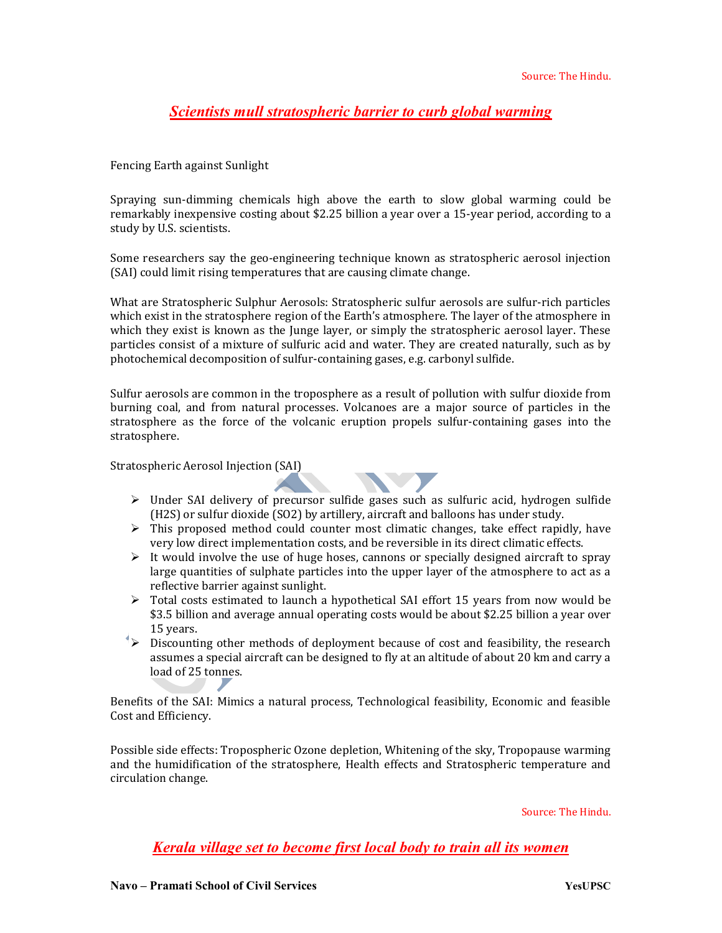## Scientists mull stratospheric barrier to curb global warming

Fencing Earth against Sunlight

Spraying sun-dimming chemicals high above the earth to slow global warming could be remarkably inexpensive costing about \$2.25 billion a year over a 15-year period, according to a study by U.S. scientists.

Some researchers say the geo-engineering technique known as stratospheric aerosol injection (SAI) could limit rising temperatures that are causing climate change.

What are Stratospheric Sulphur Aerosols: Stratospheric sulfur aerosols are sulfur-rich particles which exist in the stratosphere region of the Earth's atmosphere. The layer of the atmosphere in which they exist is known as the Junge layer, or simply the stratospheric aerosol layer. These particles consist of a mixture of sulfuric acid and water. They are created naturally, such as by photochemical decomposition of sulfur-containing gases, e.g. carbonyl sulfide.

Sulfur aerosols are common in the troposphere as a result of pollution with sulfur dioxide from burning coal, and from natural processes. Volcanoes are a major source of particles in the stratosphere as the force of the volcanic eruption propels sulfur-containing gases into the stratosphere.

Stratospheric Aerosol Injection (SAI)

- $\triangleright$  Under SAI delivery of precursor sulfide gases such as sulfuric acid, hydrogen sulfide (H2S) or sulfur dioxide (SO2) by artillery, aircraft and balloons has under study.
- $\triangleright$  This proposed method could counter most climatic changes, take effect rapidly, have very low direct implementation costs, and be reversible in its direct climatic effects.
- $\triangleright$  It would involve the use of huge hoses, cannons or specially designed aircraft to spray large quantities of sulphate particles into the upper layer of the atmosphere to act as a reflective barrier against sunlight.
- $\triangleright$  Total costs estimated to launch a hypothetical SAI effort 15 years from now would be \$3.5 billion and average annual operating costs would be about \$2.25 billion a year over 15 years.
- $\rightarrow$  Discounting other methods of deployment because of cost and feasibility, the research assumes a special aircraft can be designed to fly at an altitude of about 20 km and carry a load of 25 tonnes.

Benefits of the SAI: Mimics a natural process, Technological feasibility, Economic and feasible Cost and Efficiency.

Possible side effects: Tropospheric Ozone depletion, Whitening of the sky, Tropopause warming and the humidification of the stratosphere, Health effects and Stratospheric temperature and circulation change.

Source: The Hindu.

Kerala village set to become first local body to train all its women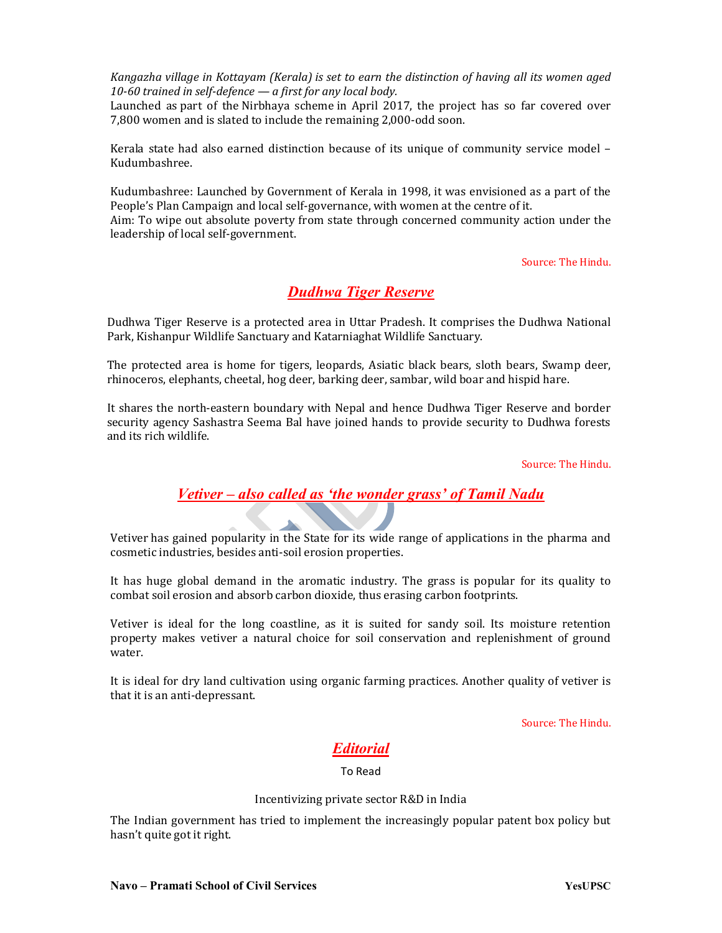Kangazha village in Kottayam (Kerala) is set to earn the distinction of having all its women aged 10-60 trained in self-defence — a first for any local body.

Launched as part of the Nirbhaya scheme in April 2017, the project has so far covered over 7,800 women and is slated to include the remaining 2,000-odd soon.

Kerala state had also earned distinction because of its unique of community service model – Kudumbashree.

Kudumbashree: Launched by Government of Kerala in 1998, it was envisioned as a part of the People's Plan Campaign and local self-governance, with women at the centre of it.

Aim: To wipe out absolute poverty from state through concerned community action under the leadership of local self-government.

Source: The Hindu.

### Dudhwa Tiger Reserve

Dudhwa Tiger Reserve is a protected area in Uttar Pradesh. It comprises the Dudhwa National Park, Kishanpur Wildlife Sanctuary and Katarniaghat Wildlife Sanctuary.

The protected area is home for tigers, leopards, Asiatic black bears, sloth bears, Swamp deer, rhinoceros, elephants, cheetal, hog deer, barking deer, sambar, wild boar and hispid hare.

It shares the north-eastern boundary with Nepal and hence Dudhwa Tiger Reserve and border security agency Sashastra Seema Bal have joined hands to provide security to Dudhwa forests and its rich wildlife.

Source: The Hindu.

### Vetiver – also called as 'the wonder grass' of Tamil Nadu

Vetiver has gained popularity in the State for its wide range of applications in the pharma and cosmetic industries, besides anti-soil erosion properties.

It has huge global demand in the aromatic industry. The grass is popular for its quality to combat soil erosion and absorb carbon dioxide, thus erasing carbon footprints.

Vetiver is ideal for the long coastline, as it is suited for sandy soil. Its moisture retention property makes vetiver a natural choice for soil conservation and replenishment of ground water.

It is ideal for dry land cultivation using organic farming practices. Another quality of vetiver is that it is an anti-depressant.

Source: The Hindu.

### Editorial

To Read

#### Incentivizing private sector R&D in India

The Indian government has tried to implement the increasingly popular patent box policy but hasn't quite got it right.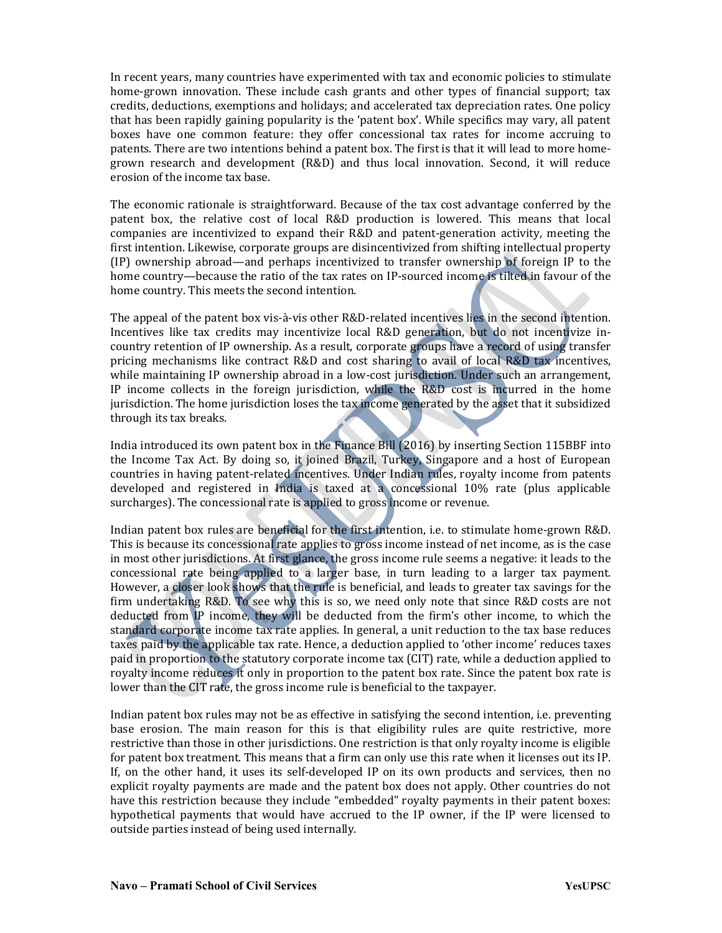In recent years, many countries have experimented with tax and economic policies to stimulate home-grown innovation. These include cash grants and other types of financial support; tax credits, deductions, exemptions and holidays; and accelerated tax depreciation rates. One policy that has been rapidly gaining popularity is the 'patent box'. While specifics may vary, all patent boxes have one common feature: they offer concessional tax rates for income accruing to patents. There are two intentions behind a patent box. The first is that it will lead to more homegrown research and development (R&D) and thus local innovation. Second, it will reduce erosion of the income tax base.

The economic rationale is straightforward. Because of the tax cost advantage conferred by the patent box, the relative cost of local R&D production is lowered. This means that local companies are incentivized to expand their R&D and patent-generation activity, meeting the first intention. Likewise, corporate groups are disincentivized from shifting intellectual property (IP) ownership abroad—and perhaps incentivized to transfer ownership of foreign IP to the home country—because the ratio of the tax rates on IP-sourced income is tilted in favour of the home country. This meets the second intention.

The appeal of the patent box vis-à-vis other R&D-related incentives lies in the second intention. Incentives like tax credits may incentivize local R&D generation, but do not incentivize incountry retention of IP ownership. As a result, corporate groups have a record of using transfer pricing mechanisms like contract R&D and cost sharing to avail of local R&D tax incentives, while maintaining IP ownership abroad in a low-cost jurisdiction. Under such an arrangement, IP income collects in the foreign jurisdiction, while the R&D cost is incurred in the home jurisdiction. The home jurisdiction loses the tax income generated by the asset that it subsidized through its tax breaks.

India introduced its own patent box in the Finance Bill (2016) by inserting Section 115BBF into the Income Tax Act. By doing so, it joined Brazil, Turkey, Singapore and a host of European countries in having patent-related incentives. Under Indian rules, royalty income from patents developed and registered in India is taxed at a concessional 10% rate (plus applicable surcharges). The concessional rate is applied to gross income or revenue.

Indian patent box rules are beneficial for the first intention, i.e. to stimulate home-grown R&D. This is because its concessional rate applies to gross income instead of net income, as is the case in most other jurisdictions. At first glance, the gross income rule seems a negative: it leads to the concessional rate being applied to a larger base, in turn leading to a larger tax payment. However, a closer look shows that the rule is beneficial, and leads to greater tax savings for the firm undertaking R&D. To see why this is so, we need only note that since R&D costs are not deducted from IP income, they will be deducted from the firm's other income, to which the standard corporate income tax rate applies. In general, a unit reduction to the tax base reduces taxes paid by the applicable tax rate. Hence, a deduction applied to 'other income' reduces taxes paid in proportion to the statutory corporate income tax (CIT) rate, while a deduction applied to royalty income reduces it only in proportion to the patent box rate. Since the patent box rate is lower than the CIT rate, the gross income rule is beneficial to the taxpayer.

Indian patent box rules may not be as effective in satisfying the second intention, i.e. preventing base erosion. The main reason for this is that eligibility rules are quite restrictive, more restrictive than those in other jurisdictions. One restriction is that only royalty income is eligible for patent box treatment. This means that a firm can only use this rate when it licenses out its IP. If, on the other hand, it uses its self-developed IP on its own products and services, then no explicit royalty payments are made and the patent box does not apply. Other countries do not have this restriction because they include "embedded" royalty payments in their patent boxes: hypothetical payments that would have accrued to the IP owner, if the IP were licensed to outside parties instead of being used internally.